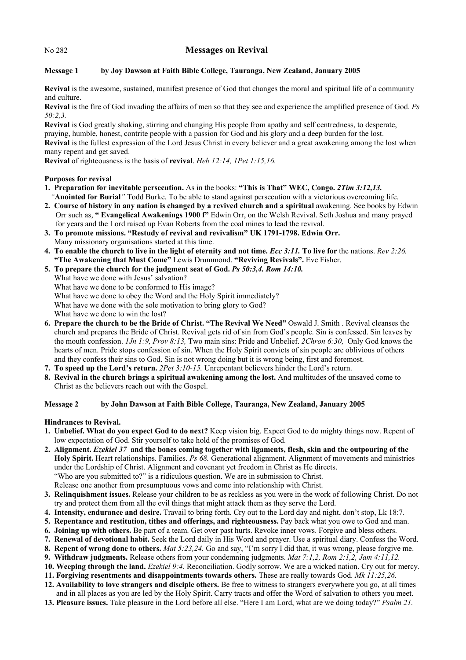## No 282 **Messages on Revival**

# **Message 1 by Joy Dawson at Faith Bible College, Tauranga, New Zealand, January 2005**

**Revival** is the awesome, sustained, manifest presence of God that changes the moral and spiritual life of a community and culture.

**Revival** is the fire of God invading the affairs of men so that they see and experience the amplified presence of God. *Ps 50:2,3.*

**Revival** is God greatly shaking, stirring and changing His people from apathy and self centredness, to desperate, praying, humble, honest, contrite people with a passion for God and his glory and a deep burden for the lost. **Revival** is the fullest expression of the Lord Jesus Christ in every believer and a great awakening among the lost when many repent and get saved.

**Revival** of righteousness is the basis of **revival**. *Heb 12:14, 1Pet 1:15,16.*

## **Purposes for revival**

- **1. Preparation for inevitable persecution.** As in the books: **"This is That" WEC, Congo.** *2Tim 3:12,13. "***Anointed for Burial***"* Todd Burke. To be able to stand against persecution with a victorious overcoming life.
- **2. Course of history in any nation is changed by a revived church and a spiritual** awakening. See books by Edwin Orr such as, **" Evangelical Awakenings 1900 f"** Edwin Orr, on the Welsh Revival. Seth Joshua and many prayed for years and the Lord raised up Evan Roberts from the coal mines to lead the revival.
- **3. To promote missions. "Restudy of revival and revivalism" UK 1791-1798. Edwin Orr.**  Many missionary organisations started at this time.
- **4. To enable the church to live in the light of eternity and not time.** *Ecc 3:11.* **To live for** the nations. *Rev 2:26.*  **"The Awakening that Must Come"** Lewis Drummond. **"Reviving Revivals".** Eve Fisher.
- **5. To prepare the church for the judgment seat of God.** *Ps 50:3,4. Rom 14:10.* 
	- What have we done with Jesus' salvation? What have we done to be conformed to His image?
	-
	- What have we done to obey the Word and the Holy Spirit immediately?
	- What have we done with the sole motivation to bring glory to God?

What have we done to win the lost?

- **6. Prepare the church to be the Bride of Christ. "The Revival We Need"** Oswald J. Smith . Revival cleanses the church and prepares the Bride of Christ. Revival gets rid of sin from God's people. Sin is confessed. Sin leaves by the mouth confession. *1Jn 1:9, Prov 8:13,* Two main sins: Pride and Unbelief. *2Chron 6:30,* Only God knows the hearts of men. Pride stops confession of sin. When the Holy Spirit convicts of sin people are oblivious of others and they confess their sins to God. Sin is not wrong doing but it is wrong being, first and foremost.
- **7. To speed up the Lord's return.** *2Pet 3:10-15.* Unrepentant believers hinder the Lord's return.
- **8. Revival in the church brings a spiritual awakening among the lost.** And multitudes of the unsaved come to Christ as the believers reach out with the Gospel.

### **Message 2 by John Dawson at Faith Bible College, Tauranga, New Zealand, January 2005**

**Hindrances to Revival.** 

- **1. Unbelief. What do you expect God to do next?** Keep vision big. Expect God to do mighty things now. Repent of low expectation of God. Stir yourself to take hold of the promises of God.
- **2. Alignment.** *Ezekiel 37* **and the bones coming together with ligaments, flesh, skin and the outpouring of the Holy Spirit.** Heart relationships. Families. *Ps 68.* Generational alignment. Alignment of movements and ministries under the Lordship of Christ. Alignment and covenant yet freedom in Christ as He directs. "Who are you submitted to?" is a ridiculous question. We are in submission to Christ. Release one another from presumptuous vows and come into relationship with Christ.
- **3. Relinquishment issues.** Release your children to be as reckless as you were in the work of following Christ. Do not try and protect them from all the evil things that might attack them as they serve the Lord.
- **4. Intensity, endurance and desire.** Travail to bring forth. Cry out to the Lord day and night, don't stop, Lk 18:7.
- **5. Repentance and restitution, tithes and offerings, and righteousness.** Pay back what you owe to God and man.
- **6. Joining up with others.** Be part of a team. Get over past hurts. Revoke inner vows. Forgive and bless others.
- **7. Renewal of devotional habit.** Seek the Lord daily in His Word and prayer. Use a spiritual diary. Confess the Word.
- **8. Repent of wrong done to others.** *Mat 5:23,24.* Go and say, "I'm sorry I did that, it was wrong, please forgive me.
- **9. Withdraw judgments.** Release others from your condemning judgments. *Mat 7:1,2, Rom 2:1,2, Jam 4:11,12.*
- **10. Weeping through the land.** *Ezekiel 9:4.* Reconciliation. Godly sorrow. We are a wicked nation. Cry out for mercy.
- **11. Forgiving resentments and disappointments towards others.** These are really towards God. *Mk 11:25,26.*
- **12. Availability to love strangers and disciple others.** Be free to witness to strangers everywhere you go, at all times and in all places as you are led by the Holy Spirit. Carry tracts and offer the Word of salvation to others you meet.
- **13. Pleasure issues.** Take pleasure in the Lord before all else. "Here I am Lord, what are we doing today?" *Psalm 21.*